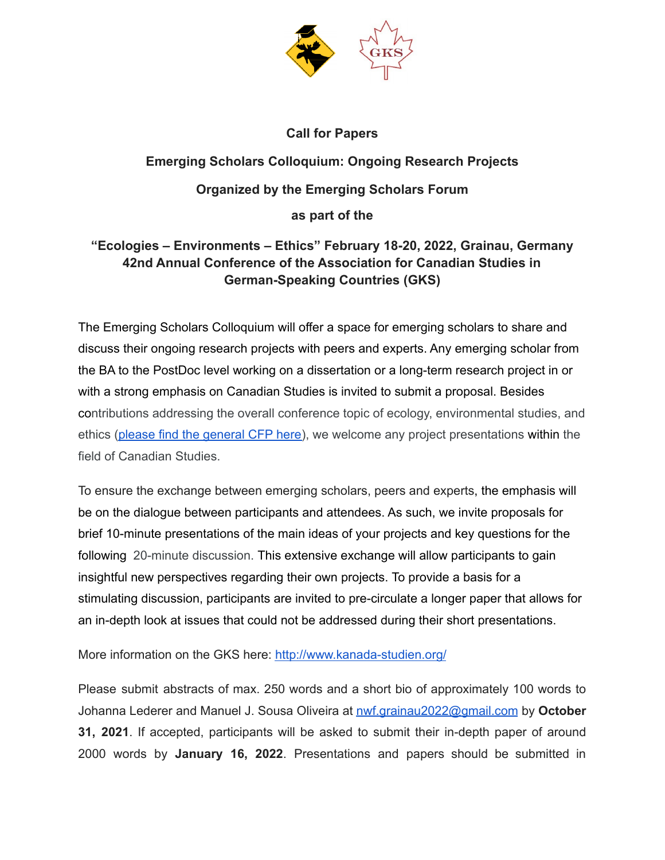

## **Call for Papers**

## **Emerging Scholars Colloquium: Ongoing Research Projects Organized by the Emerging Scholars Forum as part of the**

## **"Ecologies – Environments – Ethics" February 18-20, 2022, Grainau, Germany 42nd Annual Conference of the Association for Canadian Studies in German-Speaking Countries (GKS)**

The Emerging Scholars Colloquium will offer a space for emerging scholars to share and discuss their ongoing research projects with peers and experts. Any emerging scholar from the BA to the PostDoc level working on a dissertation or a long-term research project in or with a strong emphasis on Canadian Studies is invited to submit a proposal. Besides contributions addressing the overall conference topic of ecology, environmental studies, and ethics (please find the [general](http://www.kanada-studien.org/wp-content/uploads/2021/05/NEU_2022_GKS_CfP_Ecologies-Environments-Ethics_eng-deadline-15-Jun.pdf) CFP here), we welcome any project presentations within the field of Canadian Studies.

To ensure the exchange between emerging scholars, peers and experts, the emphasis will be on the dialogue between participants and attendees. As such, we invite proposals for brief 10-minute presentations of the main ideas of your projects and key questions for the following 20-minute discussion. This extensive exchange will allow participants to gain insightful new perspectives regarding their own projects. To provide a basis for a stimulating discussion, participants are invited to pre-circulate a longer paper that allows for an in-depth look at issues that could not be addressed during their short presentations.

More information on the GKS here: <http://www.kanada-studien.org/>

Please submit abstracts of max. 250 words and a short bio of approximately 100 words to Johanna Lederer and Manuel J. Sousa Oliveira at [nwf.grainau2022@gmail.com](mailto:nwf.grainau2022@gmail.com) by **October 31, 2021**. If accepted, participants will be asked to submit their in-depth paper of around 2000 words by **January 16, 2022**. Presentations and papers should be submitted in